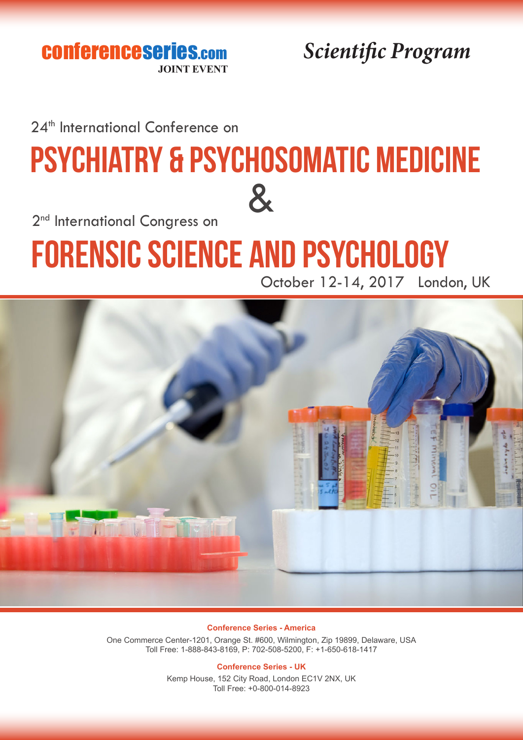conferenceseries.com **JOINT EVEN** 

*Scientific Program*

24<sup>th</sup> International Conference on

## & Psychiatry & Psychosomatic Medicine

2<sup>nd</sup> International Congress on

# Forensic Science and Psychology



October 12-14, 2017 London, UK

**Conference Series - America**

One Commerce Center-1201, Orange St. #600, Wilmington, Zip 19899, Delaware, USA Toll Free: 1-888-843-8169, P: 702-508-5200, F: +1-650-618-1417

#### **Conference Series - UK**

Kemp House, 152 City Road, London EC1V 2NX, UK Toll Free: +0-800-014-8923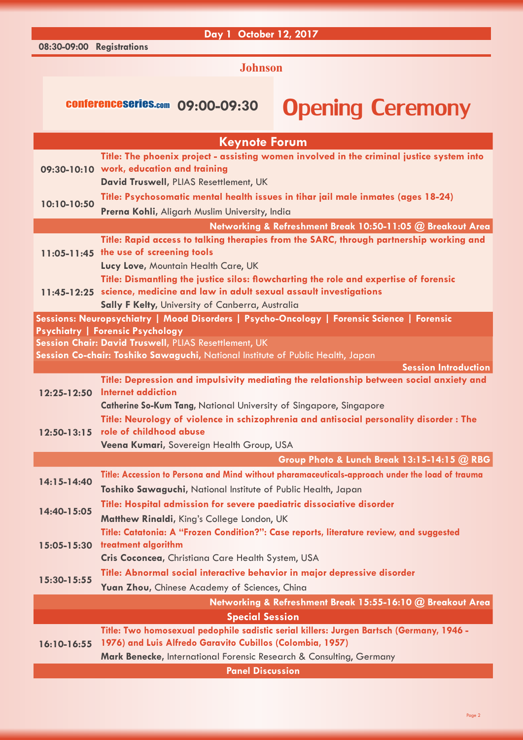#### **Day 1 October 12, 2017**

**08:30-09:00 Registrations**

#### **Johnson**

### conferenceseries.com 09:00-09:30 Opening Ceremony

| <b>Keynote Forum</b>                                                                       |                                                                                                                                   |  |
|--------------------------------------------------------------------------------------------|-----------------------------------------------------------------------------------------------------------------------------------|--|
|                                                                                            | Title: The phoenix project - assisting women involved in the criminal justice system into                                         |  |
|                                                                                            | 09:30-10:10 work, education and training                                                                                          |  |
|                                                                                            | David Truswell, PLIAS Resettlement, UK                                                                                            |  |
| 10:10-10:50                                                                                | Title: Psychosomatic mental health issues in tihar jail male inmates (ages 18-24)                                                 |  |
|                                                                                            | Prerna Kohli, Aligarh Muslim University, India                                                                                    |  |
|                                                                                            | Networking & Refreshment Break 10:50-11:05 @ Breakout Area                                                                        |  |
|                                                                                            | Title: Rapid access to talking therapies from the SARC, through partnership working and<br>11:05-11:45 the use of screening tools |  |
|                                                                                            | Lucy Love, Mountain Health Care, UK                                                                                               |  |
|                                                                                            | Title: Dismantling the justice silos: flowcharting the role and expertise of forensic                                             |  |
|                                                                                            | 11:45-12:25 science, medicine and law in adult sexual assault investigations                                                      |  |
|                                                                                            | Sally F Kelty, University of Canberra, Australia                                                                                  |  |
| Sessions: Neuropsychiatry   Mood Disorders   Psycho-Oncology   Forensic Science   Forensic |                                                                                                                                   |  |
|                                                                                            | <b>Psychiatry   Forensic Psychology</b>                                                                                           |  |
|                                                                                            | Session Chair: David Truswell, PLIAS Resettlement, UK                                                                             |  |
|                                                                                            | Session Co-chair: Toshiko Sawaguchi, National Institute of Public Health, Japan                                                   |  |
| 12:25-12:50                                                                                | <b>Session Introduction</b><br>Title: Depression and impulsivity mediating the relationship between social anxiety and            |  |
|                                                                                            | <b>Internet addiction</b>                                                                                                         |  |
|                                                                                            | <b>Catherine So-Kum Tang, National University of Singapore, Singapore</b>                                                         |  |
| $12:50 - 13:15$                                                                            | Title: Neurology of violence in schizophrenia and antisocial personality disorder: The                                            |  |
|                                                                                            | role of childhood abuse                                                                                                           |  |
|                                                                                            | Veena Kumari, Sovereign Health Group, USA                                                                                         |  |
|                                                                                            | Group Photo & Lunch Break 13:15-14:15 @ RBG                                                                                       |  |
| 14:15-14:40                                                                                | Title: Accession to Persona and Mind without pharamaceuticals-approach under the load of trauma                                   |  |
|                                                                                            | Toshiko Sawaguchi, National Institute of Public Health, Japan                                                                     |  |
| 14:40-15:05                                                                                | Title: Hospital admission for severe paediatric dissociative disorder                                                             |  |
|                                                                                            | Matthew Rinaldi, King's College London, UK                                                                                        |  |
| 15:05-15:30                                                                                | Title: Catatonia: A "Frozen Condition?": Case reports, literature review, and suggested                                           |  |
|                                                                                            | treatment algorithm                                                                                                               |  |
| 15:30-15:55                                                                                | Cris Coconcea, Christiana Care Health System, USA                                                                                 |  |
|                                                                                            | Title: Abnormal social interactive behavior in major depressive disorder                                                          |  |
|                                                                                            | Yuan Zhou, Chinese Academy of Sciences, China                                                                                     |  |
|                                                                                            | Networking & Refreshment Break 15:55-16:10 @ Breakout Area                                                                        |  |
|                                                                                            | <b>Special Session</b>                                                                                                            |  |
| $16:10 - 16:55$                                                                            | Title: Two homosexual pedophile sadistic serial killers: Jurgen Bartsch (Germany, 1946 -                                          |  |
|                                                                                            | 1976) and Luis Alfredo Garavito Cubillos (Colombia, 1957)<br>Mark Benecke, International Forensic Research & Consulting, Germany  |  |
|                                                                                            |                                                                                                                                   |  |